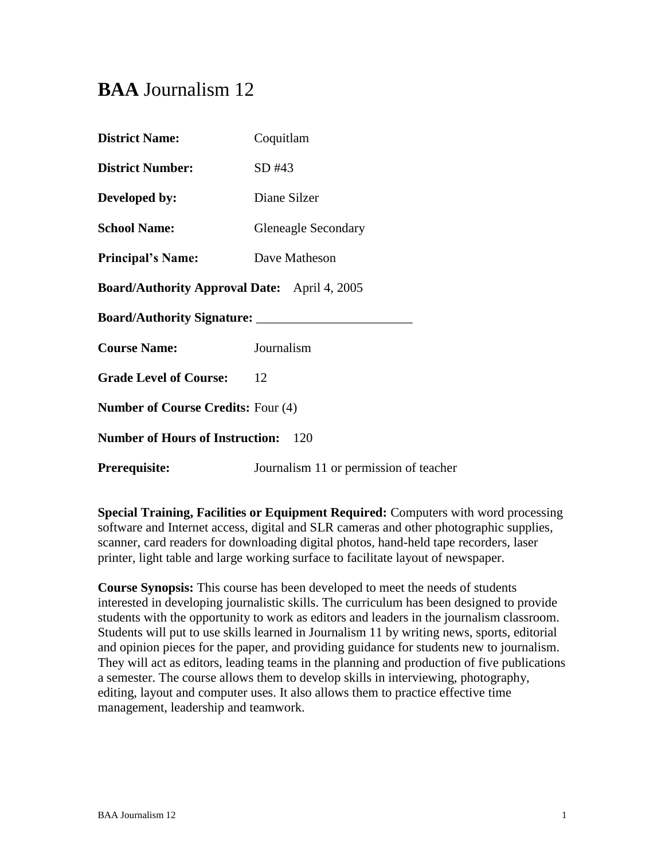# **BAA** Journalism 12

| <b>District Name:</b>                               | Coquitlam                              |
|-----------------------------------------------------|----------------------------------------|
| <b>District Number:</b>                             | $SD$ #43                               |
| Developed by:                                       | Diane Silzer                           |
| <b>School Name:</b>                                 | <b>Gleneagle Secondary</b>             |
| <b>Principal's Name:</b>                            | Dave Matheson                          |
| <b>Board/Authority Approval Date:</b> April 4, 2005 |                                        |
|                                                     |                                        |
| <b>Course Name:</b>                                 | Journalism                             |
| <b>Grade Level of Course:</b>                       | 12                                     |
| <b>Number of Course Credits: Four (4)</b>           |                                        |
| <b>Number of Hours of Instruction:</b>              | 120                                    |
| <b>Prerequisite:</b>                                | Journalism 11 or permission of teacher |

**Special Training, Facilities or Equipment Required:** Computers with word processing software and Internet access, digital and SLR cameras and other photographic supplies, scanner, card readers for downloading digital photos, hand-held tape recorders, laser printer, light table and large working surface to facilitate layout of newspaper.

**Course Synopsis:** This course has been developed to meet the needs of students interested in developing journalistic skills. The curriculum has been designed to provide students with the opportunity to work as editors and leaders in the journalism classroom. Students will put to use skills learned in Journalism 11 by writing news, sports, editorial and opinion pieces for the paper, and providing guidance for students new to journalism. They will act as editors, leading teams in the planning and production of five publications a semester. The course allows them to develop skills in interviewing, photography, editing, layout and computer uses. It also allows them to practice effective time management, leadership and teamwork.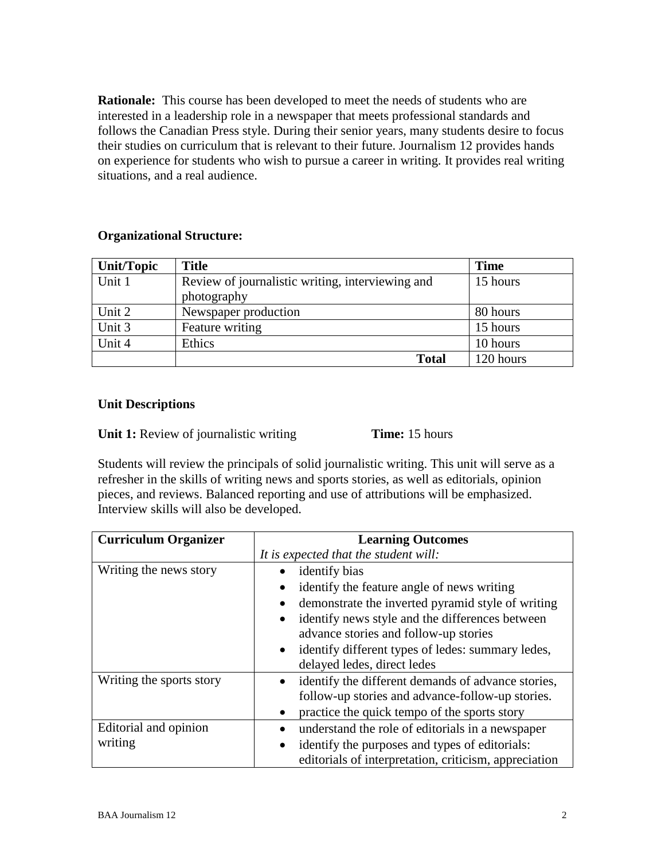**Rationale:** This course has been developed to meet the needs of students who are interested in a leadership role in a newspaper that meets professional standards and follows the Canadian Press style. During their senior years, many students desire to focus their studies on curriculum that is relevant to their future. Journalism 12 provides hands on experience for students who wish to pursue a career in writing. It provides real writing situations, and a real audience.

# **Organizational Structure:**

| Unit/Topic | <b>Title</b>                                     | <b>Time</b> |
|------------|--------------------------------------------------|-------------|
| Unit 1     | Review of journalistic writing, interviewing and | 15 hours    |
|            | photography                                      |             |
| Unit 2     | Newspaper production                             | 80 hours    |
| Unit 3     | Feature writing                                  | 15 hours    |
| Unit 4     | Ethics                                           | 10 hours    |
|            | <b>Total</b>                                     | 120 hours   |

# **Unit Descriptions**

**Unit 1:** Review of journalistic writing **Time:** 15 hours

Students will review the principals of solid journalistic writing. This unit will serve as a refresher in the skills of writing news and sports stories, as well as editorials, opinion pieces, and reviews. Balanced reporting and use of attributions will be emphasized. Interview skills will also be developed.

| <b>Curriculum Organizer</b>      | <b>Learning Outcomes</b>                                                                                                                                                                                                                                                                                      |
|----------------------------------|---------------------------------------------------------------------------------------------------------------------------------------------------------------------------------------------------------------------------------------------------------------------------------------------------------------|
|                                  | It is expected that the student will:                                                                                                                                                                                                                                                                         |
| Writing the news story           | identify bias<br>identify the feature angle of news writing<br>demonstrate the inverted pyramid style of writing<br>identify news style and the differences between<br>advance stories and follow-up stories<br>identify different types of ledes: summary ledes,<br>$\bullet$<br>delayed ledes, direct ledes |
| Writing the sports story         | identify the different demands of advance stories,<br>$\bullet$<br>follow-up stories and advance-follow-up stories.<br>practice the quick tempo of the sports story                                                                                                                                           |
| Editorial and opinion<br>writing | understand the role of editorials in a newspaper<br>identify the purposes and types of editorials:<br>editorials of interpretation, criticism, appreciation                                                                                                                                                   |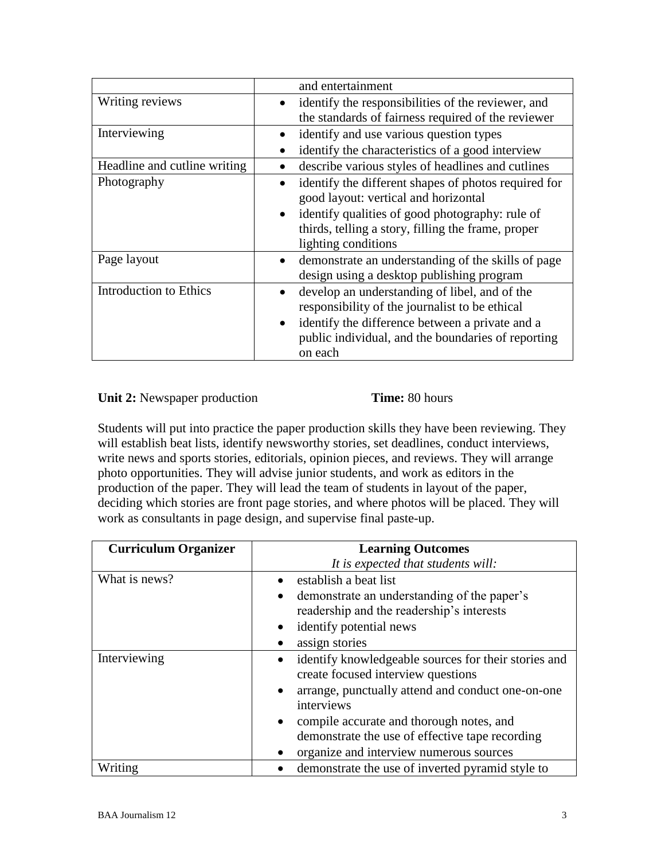|                              | and entertainment                                            |
|------------------------------|--------------------------------------------------------------|
| Writing reviews              | identify the responsibilities of the reviewer, and           |
|                              | the standards of fairness required of the reviewer           |
| Interviewing                 | identify and use various question types                      |
|                              | identify the characteristics of a good interview             |
| Headline and cutline writing | describe various styles of headlines and cutlines            |
| Photography                  | identify the different shapes of photos required for         |
|                              | good layout: vertical and horizontal                         |
|                              | identify qualities of good photography: rule of              |
|                              | thirds, telling a story, filling the frame, proper           |
|                              | lighting conditions                                          |
| Page layout                  | demonstrate an understanding of the skills of page           |
|                              | design using a desktop publishing program                    |
| Introduction to Ethics       | develop an understanding of libel, and of the                |
|                              | responsibility of the journalist to be ethical               |
|                              | identify the difference between a private and a<br>$\bullet$ |
|                              | public individual, and the boundaries of reporting           |
|                              | on each                                                      |

# **Unit 2:** Newspaper production **Time:** 80 hours

Students will put into practice the paper production skills they have been reviewing. They will establish beat lists, identify newsworthy stories, set deadlines, conduct interviews, write news and sports stories, editorials, opinion pieces, and reviews. They will arrange photo opportunities. They will advise junior students, and work as editors in the production of the paper. They will lead the team of students in layout of the paper, deciding which stories are front page stories, and where photos will be placed. They will work as consultants in page design, and supervise final paste-up.

| <b>Curriculum Organizer</b> | <b>Learning Outcomes</b>                                                                                                                                                                                                                                                                                             |
|-----------------------------|----------------------------------------------------------------------------------------------------------------------------------------------------------------------------------------------------------------------------------------------------------------------------------------------------------------------|
|                             | It is expected that students will:                                                                                                                                                                                                                                                                                   |
| What is news?               | establish a beat list<br>demonstrate an understanding of the paper's<br>$\bullet$<br>readership and the readership's interests<br>identify potential news<br>assign stories                                                                                                                                          |
| Interviewing                | identify knowledgeable sources for their stories and<br>$\bullet$<br>create focused interview questions<br>arrange, punctually attend and conduct one-on-one<br>interviews<br>compile accurate and thorough notes, and<br>demonstrate the use of effective tape recording<br>organize and interview numerous sources |
| Writing                     | demonstrate the use of inverted pyramid style to                                                                                                                                                                                                                                                                     |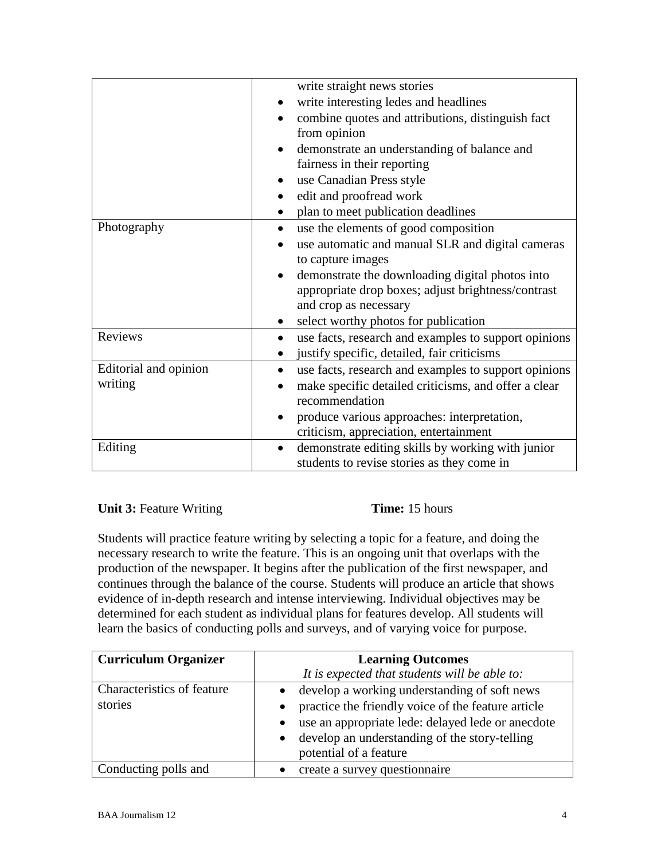|                       | write straight news stories                                       |
|-----------------------|-------------------------------------------------------------------|
|                       | write interesting ledes and headlines                             |
|                       | combine quotes and attributions, distinguish fact                 |
|                       | from opinion                                                      |
|                       | demonstrate an understanding of balance and                       |
|                       | fairness in their reporting                                       |
|                       | use Canadian Press style                                          |
|                       | edit and proofread work                                           |
|                       | plan to meet publication deadlines                                |
| Photography           | use the elements of good composition<br>$\bullet$                 |
|                       | use automatic and manual SLR and digital cameras                  |
|                       | to capture images                                                 |
|                       | demonstrate the downloading digital photos into<br>$\bullet$      |
|                       | appropriate drop boxes; adjust brightness/contrast                |
|                       | and crop as necessary                                             |
|                       | select worthy photos for publication<br>$\bullet$                 |
| Reviews               | use facts, research and examples to support opinions              |
|                       | justify specific, detailed, fair criticisms                       |
| Editorial and opinion | use facts, research and examples to support opinions<br>$\bullet$ |
| writing               | make specific detailed criticisms, and offer a clear              |
|                       | recommendation                                                    |
|                       | produce various approaches: interpretation,                       |
|                       | criticism, appreciation, entertainment                            |
| Editing               | demonstrate editing skills by working with junior<br>$\bullet$    |
|                       | students to revise stories as they come in                        |

# **Unit 3:** Feature Writing **Time:** 15 hours

Students will practice feature writing by selecting a topic for a feature, and doing the necessary research to write the feature. This is an ongoing unit that overlaps with the production of the newspaper. It begins after the publication of the first newspaper, and continues through the balance of the course. Students will produce an article that shows evidence of in-depth research and intense interviewing. Individual objectives may be determined for each student as individual plans for features develop. All students will learn the basics of conducting polls and surveys, and of varying voice for purpose.

| <b>Curriculum Organizer</b> | <b>Learning Outcomes</b>                                       |
|-----------------------------|----------------------------------------------------------------|
|                             | It is expected that students will be able to:                  |
| Characteristics of feature  | develop a working understanding of soft news                   |
| stories                     | practice the friendly voice of the feature article             |
|                             | use an appropriate lede: delayed lede or anecdote<br>$\bullet$ |
|                             | develop an understanding of the story-telling<br>$\bullet$     |
|                             | potential of a feature                                         |
| Conducting polls and        | create a survey questionnaire                                  |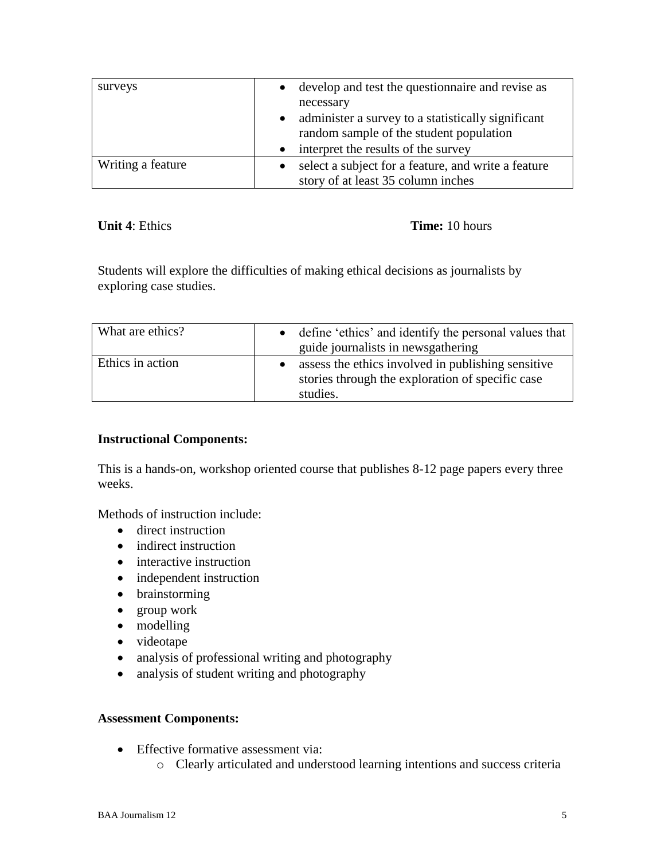| surveys           | develop and test the question aire and revise as<br>$\bullet$<br>necessary                                 |
|-------------------|------------------------------------------------------------------------------------------------------------|
|                   | administer a survey to a statistically significant<br>$\bullet$<br>random sample of the student population |
|                   | interpret the results of the survey<br>$\bullet$                                                           |
| Writing a feature | select a subject for a feature, and write a feature<br>story of at least 35 column inches                  |

**Unit 4**: Ethics **Time:** 10 hours

Students will explore the difficulties of making ethical decisions as journalists by exploring case studies.

| What are ethics? | • define 'ethics' and identify the personal values that<br>guide journalists in newsgathering                      |
|------------------|--------------------------------------------------------------------------------------------------------------------|
| Ethics in action | assess the ethics involved in publishing sensitive<br>stories through the exploration of specific case<br>studies. |

# **Instructional Components:**

This is a hands-on, workshop oriented course that publishes 8-12 page papers every three weeks.

Methods of instruction include:

- direct instruction
- indirect instruction
- interactive instruction
- independent instruction
- brainstorming
- group work
- modelling
- videotape
- analysis of professional writing and photography
- analysis of student writing and photography

# **Assessment Components:**

- Effective formative assessment via:
	- o Clearly articulated and understood learning intentions and success criteria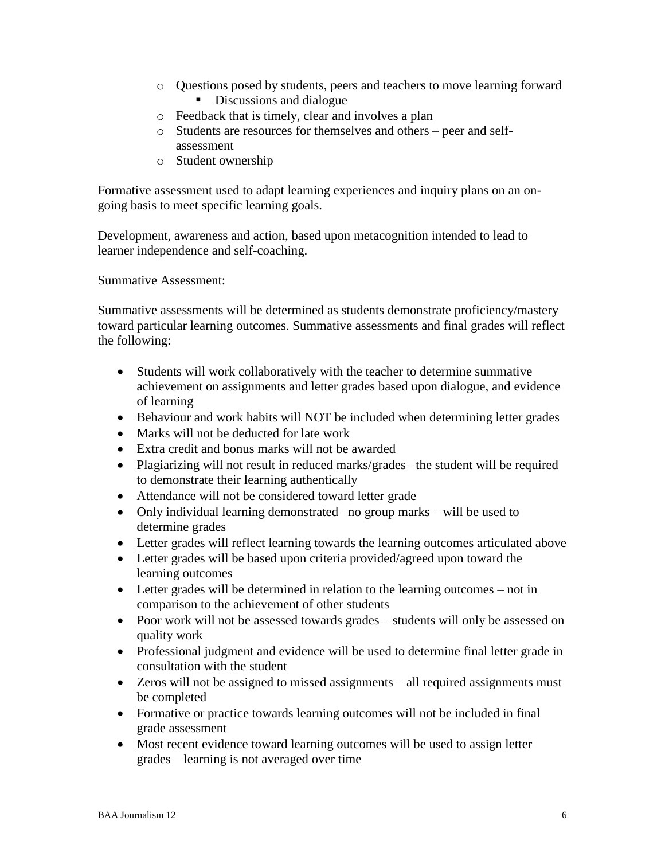- o Questions posed by students, peers and teachers to move learning forward
	- Discussions and dialogue
- o Feedback that is timely, clear and involves a plan
- o Students are resources for themselves and others peer and selfassessment
- o Student ownership

Formative assessment used to adapt learning experiences and inquiry plans on an ongoing basis to meet specific learning goals.

Development, awareness and action, based upon metacognition intended to lead to learner independence and self-coaching.

Summative Assessment:

Summative assessments will be determined as students demonstrate proficiency/mastery toward particular learning outcomes. Summative assessments and final grades will reflect the following:

- Students will work collaboratively with the teacher to determine summative achievement on assignments and letter grades based upon dialogue, and evidence of learning
- Behaviour and work habits will NOT be included when determining letter grades
- Marks will not be deducted for late work
- Extra credit and bonus marks will not be awarded
- Plagiarizing will not result in reduced marks/grades –the student will be required to demonstrate their learning authentically
- Attendance will not be considered toward letter grade
- Only individual learning demonstrated –no group marks will be used to determine grades
- Letter grades will reflect learning towards the learning outcomes articulated above
- Letter grades will be based upon criteria provided/agreed upon toward the learning outcomes
- Letter grades will be determined in relation to the learning outcomes not in comparison to the achievement of other students
- Poor work will not be assessed towards grades students will only be assessed on quality work
- Professional judgment and evidence will be used to determine final letter grade in consultation with the student
- Zeros will not be assigned to missed assignments all required assignments must be completed
- Formative or practice towards learning outcomes will not be included in final grade assessment
- Most recent evidence toward learning outcomes will be used to assign letter grades – learning is not averaged over time